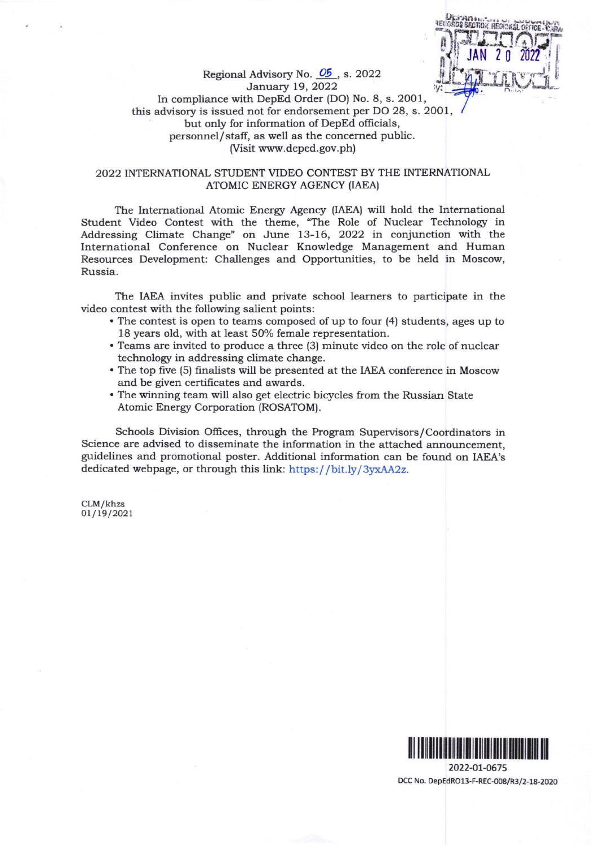

Regional Advisory No.  $\underline{\text{O5}}$ , s. 2022<br>January 19, 2022 In compliance with DepEd Order (DO) No. 8, s. 2001, this advisory is issued not for endorsement per DO 28, s. 2001, but only for information of DepEd officials, personnel/staff, as well as the concerned public. (Visit www.deped. gov.ph)

## 2022 INTERNATIONAL STUDENT VIDEO CONTEST BY THE INTERNATIONAL ATOMIC ENERGY AGENCY (IAEA)

The International Atomic Energy Agency (IAEA) will hold the International Student Video Contest with the theme, "The Role of Nuclear Technology in Addressing Climate Change" on June 13-76, 2022 in conjunction with the International Conference on Nuclear Knowledge Management and Human Resources Development: Challenges and Opportunities, to be held in Moscow, Russia.

The IAEA invites public and private school learners to participate in the video contest with the following salient points:

- . The contest is open to tearns composed ofup to four (4) students, ages up to 18 years old, with at least 50% female representation.
- . Teams are invited to produce a three (3) minute video on the role of nuclear technology in addressing climate change.
- . The top five (5) Enalists will be presented at the IAEA conference in Moscow and be given certificates and awards.
- . The winning team will also get electric bicycles from the Russian State Atomic Energy Corporation (ROSATOM).

Schools Division Offices, through the Program Supervisors/Coordinators in Science are advised to disseminate the information in the attached announcement, guidelines and promotional poster. Additional information can be found on IAEA's dedicated webpage, or through this link: https://bit.ly/3yxAA2z.

CLM/khzs 01 /19 /2021



2022-OL-O675 DCC No. DepEdROl3-F-REC-008/R3/2-18-2020